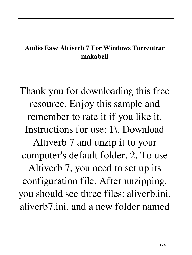## **Audio Ease Altiverb 7 For Windows Torrentrar makabell**

Thank you for downloading this free resource. Enjoy this sample and remember to rate it if you like it. Instructions for use: 1\. Download Altiverb 7 and unzip it to your computer's default folder. 2. To use Altiverb 7, you need to set up its configuration file. After unzipping, you should see three files: aliverb.ini, aliverb7.ini, and a new folder named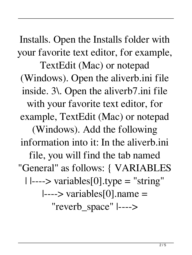Installs. Open the Installs folder with your favorite text editor, for example, TextEdit (Mac) or notepad (Windows). Open the aliverb.ini file inside. 3\. Open the aliverb7.ini file with your favorite text editor, for example, TextEdit (Mac) or notepad (Windows). Add the following information into it: In the aliverb.ini file, you will find the tab named "General" as follows: { VARIABLES  $| |$ ----> variables $[0]$ .type = "string"  $|---\rangle$  variables[0].name = "reverb\_space" |---->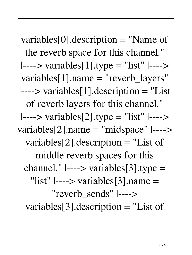variables[0].description = "Name of the reverb space for this channel." |----> variables[1].type = "list" |----> variables[1].name = "reverb\_layers" |----> variables[1].description = "List of reverb layers for this channel." |----> variables[2].type = "list" |----> variables[2].name = "midspace" |----> variables[2].description = "List of middle reverb spaces for this channel."  $|---\rangle$  variables [3].type = "list"  $|---|$  variables [3] name = "reverb\_sends" |----> variables[3].description = "List of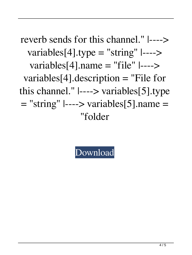reverb sends for this channel." |----> variables $[4]$ .type = "string"  $|---|$  $variables[4].name = "file" |---\rangle$ variables[4].description = "File for this channel." |----> variables[5].type  $=$  "string"  $|---\rangle$  variables[5].name  $=$ "folder

[Download](http://evacdir.com/deforming/pugs.ZG93bmxvYWR8a0IyTVhKbWRueDhNVFkxTWpRMk16QTFNSHg4TWpVM05IeDhLRTBwSUhKbFlXUXRZbXh2WnlCYlJtRnpkQ0JIUlU1ZA/QXVkaW8gRWFzZSBBbHRpdmVyYiA3IEZvciBXaW5kb3dzIFRvcnJlbnRyYXIQXV/workingfromhome/rosebud/putrescent/tokyo/)